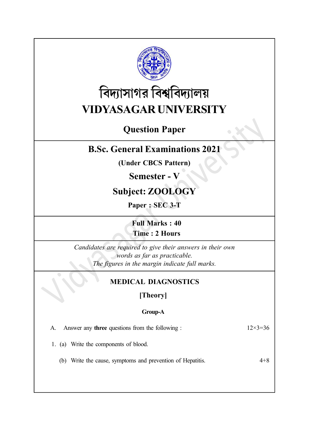

# বিদ্যাসাগর বিশ্ববিদ্যালয় VIDYASAGAR UNIVERSITY

## Question Paper

## B.Sc. General Examinations 2021

(Under CBCS Pattern)

## Semester - V

## Subject: ZOOLOGY

Paper : SEC 3-T

Full Marks : 40 Time : 2 Hours

Candidates are required to give their answers in their own words as far as practicable. The figures in the margin indicate full marks.

#### MEDICAL DIAGNOSTICS

[Theory]

#### Group-A

A. Answer any three questions from the following :  $12 \times 3 = 36$ 

1. (a) Write the components of blood.

(b) Write the cause, symptoms and prevention of Hepatitis. 4+8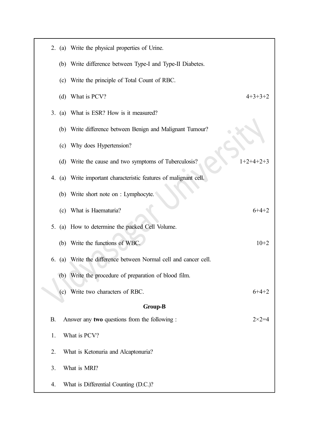|                | 2. (a) Write the physical properties of Urine.                       |  |  |  |  |
|----------------|----------------------------------------------------------------------|--|--|--|--|
|                | (b) Write difference between Type-I and Type-II Diabetes.            |  |  |  |  |
| (c)            | Write the principle of Total Count of RBC.                           |  |  |  |  |
| (d)            | What is PCV?<br>$4+3+3+2$                                            |  |  |  |  |
|                | 3. (a) What is ESR? How is it measured?                              |  |  |  |  |
|                | (b) Write difference between Benign and Malignant Tumour?            |  |  |  |  |
| (c)            | Why does Hypertension?                                               |  |  |  |  |
|                | (d) Write the cause and two symptoms of Tuberculosis?<br>$1+2+4+2+3$ |  |  |  |  |
|                | 4. (a) Write important characteristic features of malignant cell.    |  |  |  |  |
|                | (b) Write short note on : Lymphocyte.                                |  |  |  |  |
|                | (c) What is Haematuria?<br>$6+4+2$                                   |  |  |  |  |
|                | 5. (a) How to determine the packed Cell Volume.                      |  |  |  |  |
|                | (b) Write the functions of WBC.<br>$10+2$                            |  |  |  |  |
| 6. (a)         | Write the difference between Normal cell and cancer cell.            |  |  |  |  |
| (b)            | Write the procedure of preparation of blood film.                    |  |  |  |  |
| (c)            | Write two characters of RBC.<br>$6+4+2$                              |  |  |  |  |
| <b>Group-B</b> |                                                                      |  |  |  |  |
| <b>B.</b>      | Answer any two questions from the following :<br>$2 \times 2 = 4$    |  |  |  |  |
| 1.             | What is PCV?                                                         |  |  |  |  |
| 2.             | What is Ketonuria and Alcaptonuria?                                  |  |  |  |  |
| 3.             | What is MRI?                                                         |  |  |  |  |
| 4.             | What is Differential Counting (D.C.)?                                |  |  |  |  |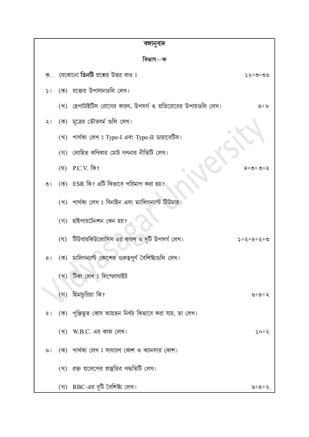|                | বঙ্গানুবাদ                                                    |                 |
|----------------|---------------------------------------------------------------|-----------------|
|                | বিভাগ—ক                                                       |                 |
| ক.             | যেকোনো <b>তিনটি</b> প্রশ্নের উত্তর দাও ঃ                      | ৬৩=৩×১          |
| 51             | (ক) রজের উপাদানগুলি লেখ।                                      |                 |
|                | (খ) হেপাটাইটিস রোগের কারণ, উপসর্গ ও প্রতিরোধের উপায়গুলি লেখ। | $8 + b$         |
| $\frac{1}{2}$  | (ক) মূত্রের ভৌতধর্ম গুলি লেখ।                                 |                 |
|                | পার্থক্য লেখ ঃ Type-I এবং Type-II ডায়াবেটিস।<br>(খ)          |                 |
|                | (গ) লোহিত কণিকার মোট গণনার নীতিটি লেখ।                        |                 |
|                | (ঘ) P.C.V. কি?                                                | $8 + 0 + 0 + 8$ |
| $\circ$        | (ক) ESR কি? এটি কিভাবে পরিমাপ করা হয়?                        |                 |
|                | (খ) পার্থক্য লেখ ঃ বিনাইন এবং ম্যালিগন্যান্ট টিউমার।          |                 |
|                | (গ) হাইপারটেনশন কেন হয়?                                      |                 |
|                | টিউবারকিউলোসিস এর কারণ ও দুটি উপসর্গ লেখ।<br>(ঘ)              | $0+5+8+5+6$     |
| 8 <sub>1</sub> | ম্যলিগন্যান্ট কোশের গুরুত্বপূর্ণ বৈশিষ্ট্যগুলি লেখ।<br>(ক)    |                 |
|                | টিকা লেখ ঃ লিম্ফোসাইট<br>(3)                                  |                 |
|                | হিমাচুরিয়া কি?<br>(3)                                        | ৬+৪+২           |
| $\alpha$       | (ক)  পুঞ্জিভূত কোষ আয়তন নির্ণয় কিভাবে করা যায়, তা লেখ।     |                 |
|                | $(3)$ W.B.C. এর কাজ লেখ।                                      | $>0+5$          |
|                | ৬। (ক) পার্থক্য লেখ ঃ সাধারণ কোশ ও ক্যানসার কোশ।              |                 |
|                | (খ) রক্ত প্রলেপের প্রস্তুতির পদ্ধতিটি লেখ।                    |                 |
|                | (গ) RBC-এর দুটি বৈশিষ্ট্য লেখ।                                | <u>৬+৪+২</u>    |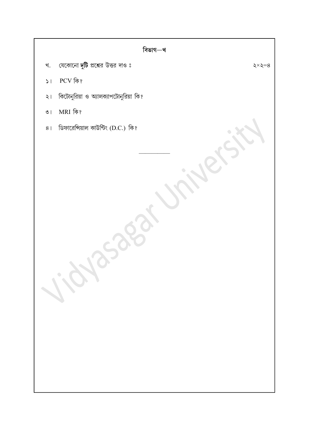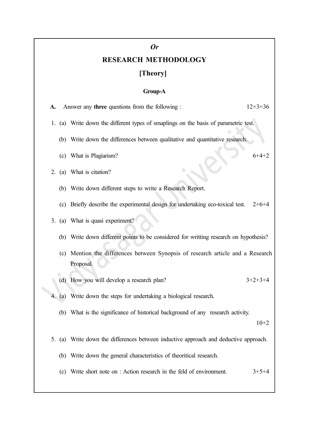### Or

# RESEARCH METHODOLOGY [Theory]

#### Croup A

|    | Group-A  |                                                                                              |                |  |  |
|----|----------|----------------------------------------------------------------------------------------------|----------------|--|--|
| A. |          | Answer any <b>three</b> questions from the following :                                       | $12\times3=36$ |  |  |
|    |          | 1. (a) Write down the different types of smaplings on the basis of parametric test.          |                |  |  |
|    |          | (b) Write down the differences between qualitative and quantitative research.                |                |  |  |
|    |          | (c) What is Plagiarism?                                                                      | $6+4+2$        |  |  |
|    |          | 2. (a) What is citation?                                                                     |                |  |  |
|    |          | (b) Write down different steps to write a Research Report.                                   |                |  |  |
|    |          | (c) Briefly describe the experimental design for undertaking eco-toxical test.               | $2+6+4$        |  |  |
|    |          | 3. (a) What is quasi experiment?                                                             |                |  |  |
|    |          | (b) Write down different points to be considered for writting research on hypothesis?        |                |  |  |
|    |          | (c) Mention the differences between Synopsis of research article and a Research<br>Proposal. |                |  |  |
|    |          | (d) How you will develop a research plan?                                                    | $3+2+3+4$      |  |  |
|    | 4. $(a)$ | Write down the steps for undertaking a biological research.                                  |                |  |  |
|    |          | (b) What is the significance of historical background of any research activity.              | $10+2$         |  |  |
|    |          | 5. (a) Write down the differences between inductive approach and deductive approach.         |                |  |  |
|    |          | (b) Write down the general characteristics of theoritical research.                          |                |  |  |
|    |          | (c) Write short note on : Action research in the feld of environment.                        | $3+5+4$        |  |  |
|    |          |                                                                                              |                |  |  |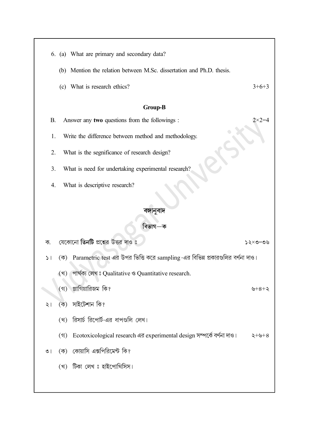|               | 6. (a) What are primary and secondary data?                                                     |                  |
|---------------|-------------------------------------------------------------------------------------------------|------------------|
|               | (b) Mention the relation between M.Sc. dissertation and Ph.D. thesis.                           |                  |
|               | (c) What is research ethics?                                                                    | $3+6+3$          |
|               | <b>Group-B</b>                                                                                  |                  |
| В.            | Answer any two questions from the followings :                                                  | $2 \times 2 = 4$ |
| 1.            | Write the difference between method and methodology.                                            |                  |
| 2.            | What is the segnificance of research design?                                                    |                  |
| 3.            | What is need for undertaking experimental research?                                             |                  |
| 4.            | What is descriptive research?                                                                   |                  |
|               | বঙ্গানুবাদ                                                                                      |                  |
|               | বিভাগ—ক                                                                                         |                  |
| ক.            | যেকোনো তিনটি প্রশ্নের উত্তর দাও ঃ                                                               | ১২×৩=৩৬          |
| $\geq$ $\mid$ | Parametric test এর উপর ভিত্তি করে sampling-এর বিভিন্ন প্রকারগুলির বর্ণনা দাও।<br>$(\vec{\Phi})$ |                  |
|               |                                                                                                 |                  |
|               |                                                                                                 |                  |
|               | পাৰ্থক্য লেখঃ Qualitative ও Quantitative research.<br>$\mathcal{L}(\mathbf{x})$ $\mathcal{L}$   |                  |
|               | প্লাগিয়ারিজম কি?<br>(3)                                                                        | ৬ $+8+$ ২        |
| $\geq 1$      | সাইটেশান কি?<br>$(\overline{\Phi})$                                                             |                  |
|               | রিসার্চ রিপোর্ট-এর ধাপগুলি লেখ।<br>(খ)                                                          |                  |
|               | Ecotoxicological research এর experimental design সম্পর্কে বর্ণনা দাও।<br>$($ গ)                 | $8+8+5$          |
| $\circ$       | কোয়াসি এক্সপিরিমেন্ট কি?<br>$(\overline{\Phi})$                                                |                  |
|               | টিকা লেখ ঃ হাইপোথিসিস।<br>(খ)                                                                   |                  |